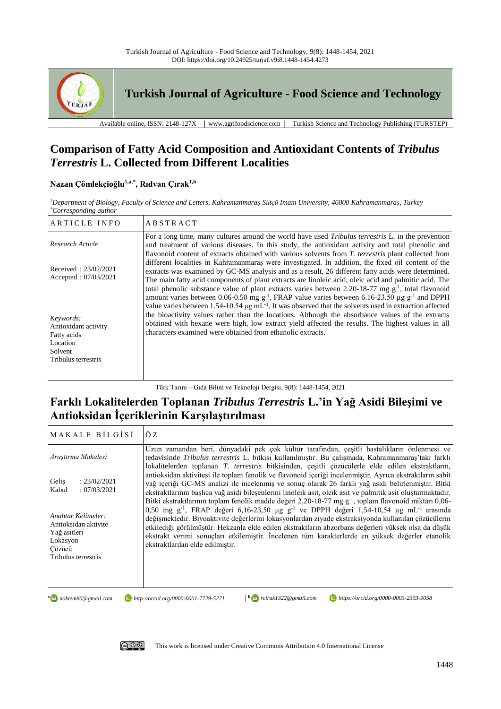

**Turkish Journal of Agriculture - Food Science and Technology**

Available online, ISSN: 2148-127X │ www.agrifoodscience.com │ Turkish Science and Technology Publishing (TURSTEP)

# **Comparison of Fatty Acid Composition and Antioxidant Contents of** *Tribulus Terrestris* **L. Collected from Different Localities**

# **Nazan Çömlekçioğlu1,a,\* , Rıdvan Çırak1,b**

*<sup>1</sup>Department of Biology, Faculty of Science and Letters, Kahramanmaraş Sütçü Imam University, 46000 Kahramanmaraş, Turkey \*Corresponding author*

| ARTICLE INFO                                                                                   | <b>ABSTRACT</b>                                                                                                                                                                                                                                                                                                                                                                                                                                                                                                                                                                                                                                                                  |
|------------------------------------------------------------------------------------------------|----------------------------------------------------------------------------------------------------------------------------------------------------------------------------------------------------------------------------------------------------------------------------------------------------------------------------------------------------------------------------------------------------------------------------------------------------------------------------------------------------------------------------------------------------------------------------------------------------------------------------------------------------------------------------------|
| Research Article                                                                               | For a long time, many cultures around the world have used <i>Tribulus terrestris</i> L. in the prevention<br>and treatment of various diseases. In this study, the antioxidant activity and total phenolic and<br>flavonoid content of extracts obtained with various solvents from T. terrestris plant collected from                                                                                                                                                                                                                                                                                                                                                           |
| Received: $23/02/2021$<br>Accepted: $07/03/2021$                                               | different localities in Kahramanmaras were investigated. In addition, the fixed oil content of the<br>extracts was examined by GC-MS analysis and as a result, 26 different fatty acids were determined.<br>The main fatty acid components of plant extracts are linoleic acid, oleic acid and palmitic acid. The<br>total phenolic substance value of plant extracts varies between 2.20-18-77 mg $g^{-1}$ , total flavonoid<br>amount varies between 0.06-0.50 mg g <sup>-1</sup> , FRAP value varies between 6.16-23.50 µg g <sup>-1</sup> and DPPH<br>value varies between $1.54$ -10.54 µg mL <sup>-1</sup> . It was observed that the solvents used in extraction affected |
| Keywords:<br>Antioxidant activity<br>Fatty acids<br>Location<br>Solvent<br>Tribulus terrestris | the bioactivity values rather than the locations. Although the absorbance values of the extracts<br>obtained with hexane were high, low extract yield affected the results. The highest values in all<br>characters examined were obtained from ethanolic extracts.                                                                                                                                                                                                                                                                                                                                                                                                              |

Türk Tarım – Gıda Bilim ve Teknoloji Dergisi, 9(8): 1448-1454, 2021

# **Farklı Lokalitelerden Toplanan** *Tribulus Terrestris* **L.'in Yağ Asidi Bileşimi ve Antioksidan İçeriklerinin Karşılaştırılması**

| MAKALE BILGISI                                                                                          | ÖZ                                                                                                                                                                                                                                                                                                                                                                                                                                                                             |
|---------------------------------------------------------------------------------------------------------|--------------------------------------------------------------------------------------------------------------------------------------------------------------------------------------------------------------------------------------------------------------------------------------------------------------------------------------------------------------------------------------------------------------------------------------------------------------------------------|
| Araştırma Makalesi                                                                                      | Uzun zamandan beri, dünyadaki pek çok kültür tarafından, çeşitli hastalıkların önlenmesi ve<br>tedavisinde Tribulus terrestris L. bitkisi kullanılmıştır. Bu çalışmada, Kahramanmaraş'taki farklı<br>lokalitelerden toplanan T. terrestris bitkisinden, çeşitli çözücülerle elde edilen ekstraktların,                                                                                                                                                                         |
| : 23/02/2021<br>Gelis<br>:07/03/2021<br>Kabul                                                           | antioksidan aktivitesi ile toplam fenolik ve flavonoid içeriği incelenmiştir. Ayrıca ekstraktların sabit<br>yağ içeriği GC-MS analizi ile incelenmiş ve sonuç olarak 26 farklı yağ asidi belirlenmiştir. Bitki<br>ekstraktlarının başlıca yağ asidi bileşenlerini linoleik asit, oleik asit ve palmitik asit oluşturmaktadır.<br>Bitki ekstraktlarının toplam fenolik madde değeri 2,20-18-77 mg g <sup>-1</sup> , toplam flavonoid miktarı 0,06-                              |
| Anahtar Kelimeler:<br>Antioksidan aktivite<br>Yağ asitleri<br>Lokasyon<br>Cözücü<br>Tribulus terrestris | 0,50 mg g <sup>-1</sup> , FRAP değeri 6,16-23,50 µg g <sup>-1</sup> ve DPPH değeri 1,54-10,54 µg mL <sup>-1</sup> arasında<br>değismektedir. Biyoaktivite değerlerini lokasyonlardan ziyade ekstraksiyonda kullanılan çözücülerin<br>etkilediği görülmüstür. Hekzanla elde edilen ekstraktların abzorbans değerleri yüksek olsa da düşük<br>ekstrakt verimi sonuçları etkilemiştir. İncelenen tüm karakterlerde en yüksek değerler etanolik<br>ekstraktlardan elde edilmiştir. |
| a a noktem80@gmail.com                                                                                  | rcirak1322@gmail.com<br>https://orcid.org/0000-0003-2303-9058<br>http://orcid.org/0000-0001-7729-5271                                                                                                                                                                                                                                                                                                                                                                          |



[This work is licensed under Creative Commons Attribution 4.0 International License](http://creativecommons.org/licenses/by-nc/4.0/)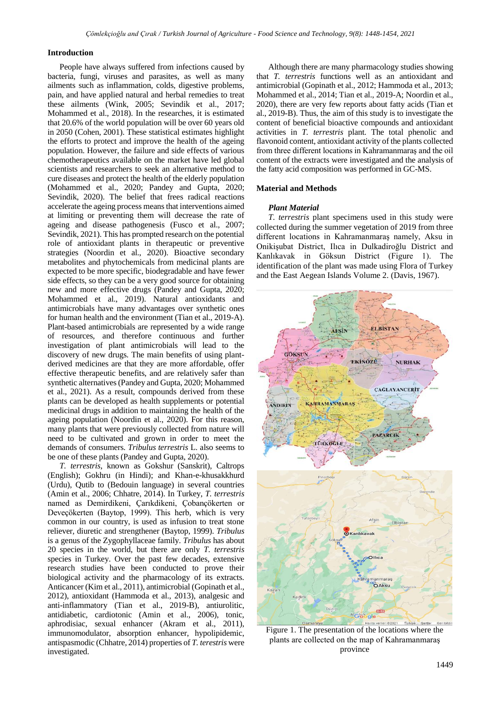#### **Introduction**

People have always suffered from infections caused by bacteria, fungi, viruses and parasites, as well as many ailments such as inflammation, colds, digestive problems, pain, and have applied natural and herbal remedies to treat these ailments (Wink, 2005; Sevindik et al., 2017; Mohammed et al., 2018). In the researches, it is estimated that 20.6% of the world population will be over 60 years old in 2050 (Cohen, 2001). These statistical estimates highlight the efforts to protect and improve the health of the ageing population. However, the failure and side effects of various chemotherapeutics available on the market have led global scientists and researchers to seek an alternative method to cure diseases and protect the health of the elderly population (Mohammed et al., 2020; Pandey and Gupta, 2020; Sevindik, 2020). The belief that frees radical reactions accelerate the ageing process means that interventions aimed at limiting or preventing them will decrease the rate of ageing and disease pathogenesis (Fusco et al., 2007; Sevindik, 2021). This has prompted research on the potential role of antioxidant plants in therapeutic or preventive strategies (Noordin et al., 2020). Bioactive secondary metabolites and phytochemicals from medicinal plants are expected to be more specific, biodegradable and have fewer side effects, so they can be a very good source for obtaining new and more effective drugs (Pandey and Gupta, 2020; Mohammed et al., 2019). Natural antioxidants and antimicrobials have many advantages over synthetic ones for human health and the environment (Tian et al., 2019-A). Plant-based antimicrobials are represented by a wide range of resources, and therefore continuous and further investigation of plant antimicrobials will lead to the discovery of new drugs. The main benefits of using plantderived medicines are that they are more affordable, offer effective therapeutic benefits, and are relatively safer than synthetic alternatives (Pandey and Gupta, 2020; Mohammed et al., 2021). As a result, compounds derived from these plants can be developed as health supplements or potential medicinal drugs in addition to maintaining the health of the ageing population (Noordin et al., 2020). For this reason, many plants that were previously collected from nature will need to be cultivated and grown in order to meet the demands of consumers. *Tribulus terrestris* L. also seems to be one of these plants (Pandey and Gupta, 2020).

*T. terrestris*, known as Gokshur (Sanskrit), Caltrops (English); Gokhru (in Hindi); and Khan-e-khusakkhurd (Urdu), Qutib to (Bedouin language) in several countries (Amin et al., 2006; Chhatre, 2014). In Turkey, *T. terrestris* named as Demirdikeni, Çarıkdikeni, Çobançökerten or Deveçökerten (Baytop, 1999). This herb, which is very common in our country, is used as infusion to treat stone reliever, diuretic and strengthener (Baytop, 1999). *Tribulus* is a genus of the Zygophyllaceae family. *Tribulus* has about 20 species in the world, but there are only *T. terrestris* species in Turkey. Over the past few decades, extensive research studies have been conducted to prove their biological activity and the pharmacology of its extracts. Anticancer (Kim et al., 2011), antimicrobial (Gopinath et al., 2012), antioxidant (Hammoda et al., 2013), analgesic and anti-inflammatory (Tian et al., 2019-B), antiurolitic, antidiabetic, cardiotonic (Amin et al., 2006), tonic, aphrodisiac, sexual enhancer (Akram et al., 2011), immunomodulator, absorption enhancer, hypolipidemic, antispasmodic (Chhatre, 2014) properties of *T. terestris* were investigated.

Although there are many pharmacology studies showing that *T. terrestris* functions well as an antioxidant and antimicrobial (Gopinath et al., 2012; Hammoda et al., 2013; Mohammed et al., 2014; Tian et al., 2019-A; Noordin et al., 2020), there are very few reports about fatty acids (Tian et al., 2019-B). Thus, the aim of this study is to investigate the content of beneficial bioactive compounds and antioxidant activities in *T. terrestris* plant. The total phenolic and flavonoid content, antioxidant activity of the plants collected from three different locations in Kahramanmaraş and the oil content of the extracts were investigated and the analysis of the fatty acid composition was performed in GC-MS.

#### **Material and Methods**

#### *Plant Material*

*T. terrestris* plant specimens used in this study were collected during the summer vegetation of 2019 from three different locations in Kahramanmaraş namely, Aksu in Onikişubat District, Ilıca in Dulkadiroğlu District and Kanlıkavak in Göksun District (Figure 1). The identification of the plant was made using Flora of Turkey and the East Aegean Islands Volume 2. (Davis, 1967).



Figure 1. The presentation of the locations where the plants are collected on the map of Kahramanmaraş province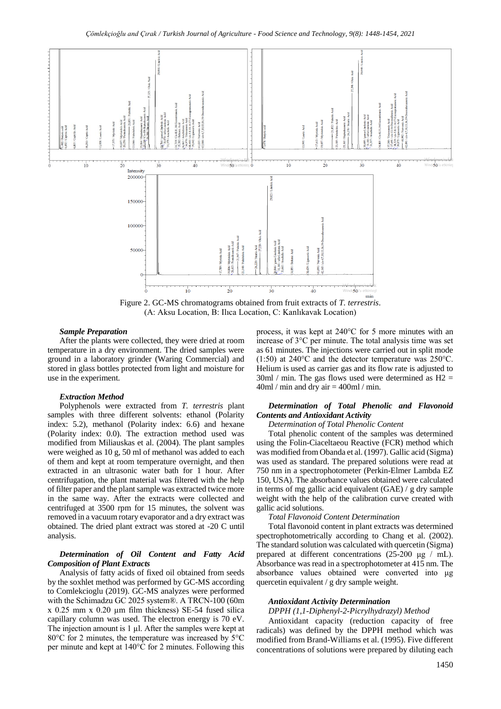

Figure 2. GC-MS chromatograms obtained from fruit extracts of *T. terrestris*. (A: Aksu Location, B: Ilıca Location, C: Kanlıkavak Location)

#### *Sample Preparation*

After the plants were collected, they were dried at room temperature in a dry environment. The dried samples were ground in a laboratory grinder (Waring Commercial) and stored in glass bottles protected from light and moisture for use in the experiment.

#### *Extraction Method*

Polyphenols were extracted from *T. terrestris* plant samples with three different solvents: ethanol (Polarity index: 5.2), methanol (Polarity index: 6.6) and hexane (Polarity index: 0.0). The extraction method used was modified from Miliauskas et al. (2004). The plant samples were weighed as 10 g, 50 ml of methanol was added to each of them and kept at room temperature overnight, and then extracted in an ultrasonic water bath for 1 hour. After centrifugation, the plant material was filtered with the help of filter paper and the plant sample was extracted twice more in the same way. After the extracts were collected and centrifuged at 3500 rpm for 15 minutes, the solvent was removed in a vacuum rotary evaporator and a dry extract was obtained. The dried plant extract was stored at -20 C until analysis.

#### *Determination of Oil Content and Fatty Acid Composition of Plant Extracts*

Analysis of fatty acids of fixed oil obtained from seeds by the soxhlet method was performed by GC-MS according to Comlekcioglu (2019). GC-MS analyzes were performed with the Schimadzu GC 2025 system®. A TRCN-100 (60m x 0.25 mm x 0.20 µm film thickness) SE-54 fused silica capillary column was used. The electron energy is 70 eV. The injection amount is 1 µl. After the samples were kept at 80°C for 2 minutes, the temperature was increased by 5°C per minute and kept at 140°C for 2 minutes. Following this process, it was kept at 240°C for 5 more minutes with an increase of 3°C per minute. The total analysis time was set as 61 minutes. The injections were carried out in split mode (1:50) at 240°C and the detector temperature was 250°C. Helium is used as carrier gas and its flow rate is adjusted to  $30<sub>ml</sub>$  / min. The gas flows used were determined as H2 =  $40$ ml / min and dry air =  $400$ ml / min.

## *Determination of Total Phenolic and Flavonoid Contents and Antioxidant Activity*

#### *Determination of Total Phenolic Content*

Total phenolic content of the samples was determined using the Folin-Ciaceltaeou Reactive (FCR) method which was modified from Obanda et al. (1997). Gallic acid (Sigma) was used as standard. The prepared solutions were read at 750 nm in a spectrophotometer (Perkin-Elmer Lambda EZ 150, USA). The absorbance values obtained were calculated in terms of mg gallic acid equivalent (GAE) / g dry sample weight with the help of the calibration curve created with gallic acid solutions.

*Total Flavonoid Content Determination*

Total flavonoid content in plant extracts was determined spectrophotometrically according to Chang et al. (2002). The standard solution was calculated with quercetin (Sigma) prepared at different concentrations (25-200 μg / mL). Absorbance was read in a spectrophotometer at 415 nm. The absorbance values obtained were converted into μg quercetin equivalent / g dry sample weight.

#### *Antioxidant Activity Determination*

#### *DPPH (1,1-Diphenyl-2-Picrylhydrazyl) Method*

Antioxidant capacity (reduction capacity of free radicals) was defined by the DPPH method which was modified from Brand-Williams et al. (1995). Five different concentrations of solutions were prepared by diluting each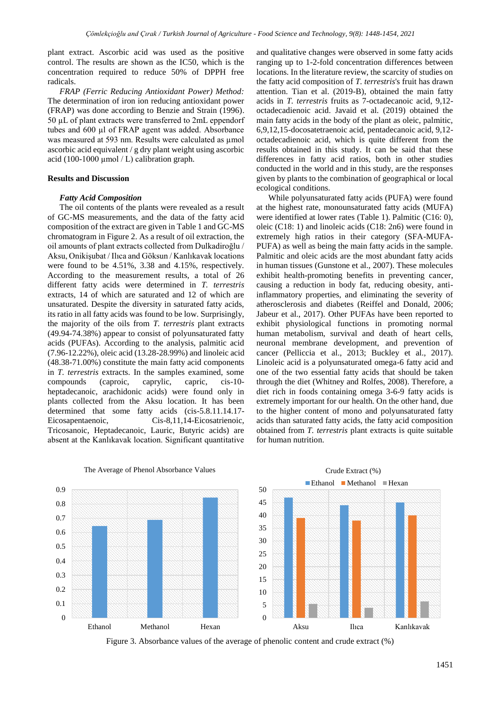plant extract. Ascorbic acid was used as the positive control. The results are shown as the IC50, which is the concentration required to reduce 50% of DPPH free radicals.

*FRAP (Ferric Reducing Antioxidant Power) Method:* The determination of iron ion reducing antioxidant power (FRAP) was done according to Benzie and Strain (1996). 50 µL of plant extracts were transferred to 2mL eppendorf tubes and 600 µl of FRAP agent was added. Absorbance was measured at 593 nm. Results were calculated as  $\mu$ mol ascorbic acid equivalent / g dry plant weight using ascorbic acid (100-1000 µmol / L) calibration graph.

#### **Results and Discussion**

### *Fatty Acid Composition*

The oil contents of the plants were revealed as a result of GC-MS measurements, and the data of the fatty acid composition of the extract are given in Table 1 and GC-MS chromatogram in Figure 2. As a result of oil extraction, the oil amounts of plant extracts collected from Dulkadiroğlu / Aksu, Onikişubat / Ilıca and Göksun / Kanlıkavak locations were found to be 4.51%, 3.38 and 4.15%, respectively. According to the measurement results, a total of 26 different fatty acids were determined in *T. terrestris* extracts, 14 of which are saturated and 12 of which are unsaturated. Despite the diversity in saturated fatty acids, its ratio in all fatty acids was found to be low. Surprisingly, the majority of the oils from *T. terrestris* plant extracts (49.94-74.38%) appear to consist of polyunsaturated fatty acids (PUFAs). According to the analysis, palmitic acid (7.96-12.22%), oleic acid (13.28-28.99%) and linoleic acid (48.38-71.00%) constitute the main fatty acid components in *T. terrestris* extracts. In the samples examined, some compounds (caproic, caprylic, capric, cis-10 heptadecanoic, arachidonic acids) were found only in plants collected from the Aksu location. It has been determined that some fatty acids (cis-5.8.11.14.17- Eicosapentaenoic, Cis-8,11,14-Eicosatrienoic, Tricosanoic, Heptadecanoic, Lauric, Butyric acids) are absent at the Kanlıkavak location. Significant quantitative

and qualitative changes were observed in some fatty acids ranging up to 1-2-fold concentration differences between locations. In the literature review, the scarcity of studies on the fatty acid composition of *T. terrestris*'s fruit has drawn attention. Tian et al. (2019-B), obtained the main fatty acids in *T. terrestris* fruits as 7-octadecanoic acid, 9,12 octadecadienoic acid. Javaid et al. (2019) obtained the main fatty acids in the body of the plant as oleic, palmitic, 6,9,12,15-docosatetraenoic acid, pentadecanoic acid, 9,12 octadecadienoic acid, which is quite different from the results obtained in this study. It can be said that these differences in fatty acid ratios, both in other studies conducted in the world and in this study, are the responses given by plants to the combination of geographical or local ecological conditions.

While polyunsaturated fatty acids (PUFA) were found at the highest rate, monounsaturated fatty acids (MUFA) were identified at lower rates (Table 1). Palmitic (C16: 0), oleic (C18: 1) and linoleic acids (C18: 2n6) were found in extremely high ratios in their category (SFA-MUFA-PUFA) as well as being the main fatty acids in the sample. Palmitic and oleic acids are the most abundant fatty acids in human tissues (Gunstone et al., 2007). These molecules exhibit health-promoting benefits in preventing cancer, causing a reduction in body fat, reducing obesity, antiinflammatory properties, and eliminating the severity of atherosclerosis and diabetes (Reiffel and Donald, 2006; Jabeur et al., 2017). Other PUFAs have been reported to exhibit physiological functions in promoting normal human metabolism, survival and death of heart cells, neuronal membrane development, and prevention of cancer (Pelliccia et al., 2013; Buckley et al., 2017). Linoleic acid is a polyunsaturated omega-6 fatty acid and one of the two essential fatty acids that should be taken through the diet (Whitney and Rolfes, 2008). Therefore, a diet rich in foods containing omega 3-6-9 fatty acids is extremely important for our health. On the other hand, due to the higher content of mono and polyunsaturated fatty acids than saturated fatty acids, the fatty acid composition obtained from *T. terrestris* plant extracts is quite suitable for human nutrition.

Crude Extract (%)



The Average of Phenol Absorbance Values

Figure 3. Absorbance values of the average of phenolic content and crude extract (%)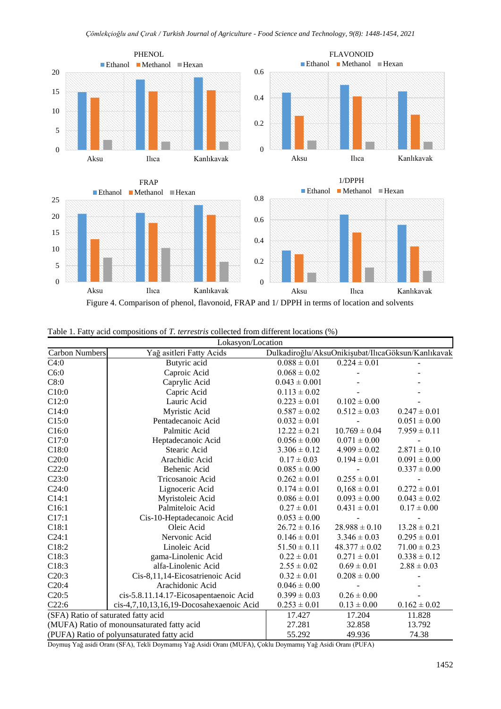

|  |  | Table 1. Fatty acid compositions of T. terrestris collected from different locations (%) |  |  |  |  |  |  |  |
|--|--|------------------------------------------------------------------------------------------|--|--|--|--|--|--|--|
|--|--|------------------------------------------------------------------------------------------|--|--|--|--|--|--|--|

| Lokasyon/Location                          |                                            |                   |                   |                                                    |  |
|--------------------------------------------|--------------------------------------------|-------------------|-------------------|----------------------------------------------------|--|
| <b>Carbon Numbers</b>                      | Yağ asitleri Fatty Acids                   |                   |                   | Dulkadiroğlu/AksuOnikişubat/IlıcaGöksun/Kanlıkavak |  |
| C4:0                                       | Butyric acid                               | $0.088 \pm 0.01$  | $0.224 \pm 0.01$  |                                                    |  |
| C6:0                                       | Caproic Acid                               | $0.068 \pm 0.02$  |                   |                                                    |  |
| C8:0                                       | Caprylic Acid                              | $0.043 \pm 0.001$ |                   |                                                    |  |
| C10:0                                      | Capric Acid                                | $0.113 \pm 0.02$  |                   |                                                    |  |
| C12:0                                      | Lauric Acid                                | $0.223 \pm 0.01$  | $0.102 \pm 0.00$  |                                                    |  |
| C14:0                                      | Myristic Acid                              | $0.587 \pm 0.02$  | $0.512 \pm 0.03$  | $0.247 \pm 0.01$                                   |  |
| C15:0                                      | Pentadecanoic Acid                         | $0.032 \pm 0.01$  |                   | $0.051 \pm 0.00$                                   |  |
| C16:0                                      | Palmitic Acid                              | $12.22 \pm 0.21$  | $10.769 \pm 0.04$ | $7.959 \pm 0.11$                                   |  |
| C17:0                                      | Heptadecanoic Acid                         | $0.056 \pm 0.00$  | $0.071 \pm 0.00$  |                                                    |  |
| C18:0                                      | Stearic Acid                               | $3.306 \pm 0.12$  | $4.909 \pm 0.02$  | $2.871 \pm 0.10$                                   |  |
| C20:0                                      | Arachidic Acid                             | $0.17 \pm 0.03$   | $0.194 \pm 0.01$  | $0.091 \pm 0.00$                                   |  |
| C22:0                                      | Behenic Acid                               | $0.085 \pm 0.00$  |                   | $0.337 \pm 0.00$                                   |  |
| C23:0                                      | Tricosanoic Acid                           | $0.262 \pm 0.01$  | $0.255 \pm 0.01$  |                                                    |  |
| C24:0                                      | Lignoceric Acid                            | $0.174 \pm 0.01$  | $0,168 \pm 0.01$  | $0.272 \pm 0.01$                                   |  |
| C14:1                                      | Myristoleic Acid                           | $0.086 \pm 0.01$  | $0.093 \pm 0.00$  | $0.043 \pm 0.02$                                   |  |
| C16:1                                      | Palmiteloic Acid                           | $0.27 \pm 0.01$   | $0.431 \pm 0.01$  | $0.17 \pm 0.00$                                    |  |
| C17:1                                      | Cis-10-Heptadecanoic Acid                  | $0.053 \pm 0.00$  |                   |                                                    |  |
| C18:1                                      | Oleic Acid                                 | $26.72 \pm 0.16$  | $28.988 \pm 0.10$ | $13.28 \pm 0.21$                                   |  |
| C24:1                                      | Nervonic Acid                              | $0.146 \pm 0.01$  | $3.346 \pm 0.03$  | $0.295 \pm 0.01$                                   |  |
| C18:2                                      | Linoleic Acid                              | $51.50 \pm 0.11$  | $48.377 \pm 0.02$ | $71.00 \pm 0.23$                                   |  |
| C18:3                                      | gama-Linolenic Acid                        | $0.22 \pm 0.01$   | $0.271 \pm 0.01$  | $0.338 \pm 0.12$                                   |  |
| C18:3                                      | alfa-Linolenic Acid                        | $2.55\pm0.02$     | $0.69 \pm 0.01$   | $2.88 \pm 0.03$                                    |  |
| C20:3                                      | Cis-8,11,14-Eicosatrienoic Acid            | $0.32 \pm 0.01$   | $0.208 \pm 0.00$  |                                                    |  |
| C20:4                                      | Arachidonic Acid                           | $0.046 \pm 0.00$  |                   |                                                    |  |
| C20:5                                      | cis-5.8.11.14.17-Eicosapentaenoic Acid     | $0.399 \pm 0.03$  | $0.26 \pm 0.00$   |                                                    |  |
| C22:6                                      | cis-4,7,10,13,16,19-Docosahexaenoic Acid   | $0.253 \pm 0.01$  | $0.13 \pm 0.00$   | $0.162 \pm 0.02$                                   |  |
| (SFA) Ratio of saturated fatty acid        |                                            | 17.427            | 17.204            | 11.828                                             |  |
|                                            | (MUFA) Ratio of monounsaturated fatty acid | 27.281            | 32.858            | 13.792                                             |  |
| (PUFA) Ratio of polyunsaturated fatty acid |                                            | 55.292            | 49.936            | 74.38                                              |  |

Doymuş Yağ asidi Oranı (SFA), Tekli Doymamış Yağ Asidi Oranı (MUFA), Çoklu Doymamış Yağ Asidi Oranı (PUFA)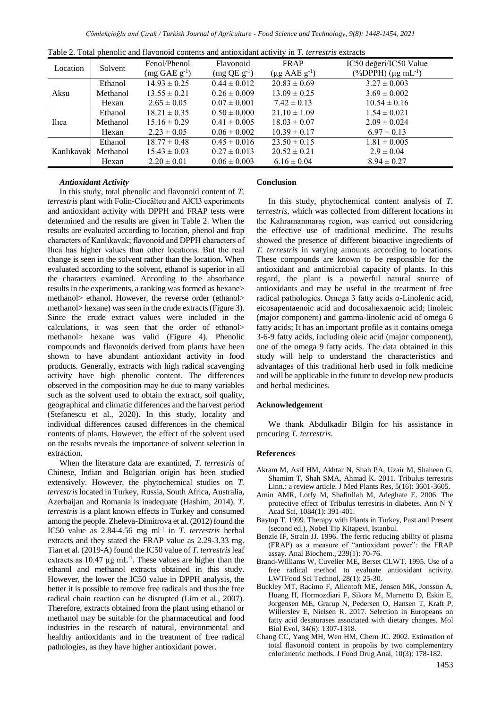|  |  |  |  |  |  | Table 2. Total phenolic and flavonoid contents and antioxidant activity in T, terrestris extracts |
|--|--|--|--|--|--|---------------------------------------------------------------------------------------------------|
|--|--|--|--|--|--|---------------------------------------------------------------------------------------------------|

# *Antioxidant Activity*

In this study, total phenolic and flavonoid content of *T. terrestris* plant with Folin-Ciocâlteu and AlCl3 experiments and antioxidant activity with DPPH and FRAP tests were determined and the results are given in Table 2. When the results are evaluated according to location, phenol and frap characters of Kanlıkavak; flavonoid and DPPH characters of Ilıca has higher values than other locations. But the real change is seen in the solvent rather than the location. When evaluated according to the solvent, ethanol is superior in all the characters examined. According to the absorbance results in the experiments, a ranking was formed as hexane> methanol> ethanol. However, the reverse order (ethanol> methanol> hexane) was seen in the crude extracts (Figure 3). Since the crude extract values were included in the calculations, it was seen that the order of ethanol> methanol> hexane was valid (Figure 4). Phenolic compounds and flavonoids derived from plants have been shown to have abundant antioxidant activity in food products. Generally, extracts with high radical scavenging activity have high phenolic content. The differences observed in the composition may be due to many variables such as the solvent used to obtain the extract, soil quality, geographical and climatic differences and the harvest period (Stefanescu et al., 2020). In this study, locality and individual differences caused differences in the chemical contents of plants. However, the effect of the solvent used on the results reveals the importance of solvent selection in extraction.

When the literature data are examined, *T. terrestris* of Chinese, Indian and Bulgarian origin has been studied extensively. However, the phytochemical studies on *T. terrestris* located in Turkey, Russia, South Africa, Australia, Azerbaijan and Romania is inadequate (Hashim, 2014). *T. terrestris* is a plant known effects in Turkey and consumed among the people. Zheleva-Dimitrova et al. (2012) found the IC50 value as 2.84-4.56 mg ml<sup>-1</sup> in *T. terrestris* herbal extracts and they stated the FRAP value as 2.29-3.33 mg. Tian et al. (2019-A) found the IC50 value of *T. terrestris*leaf extracts as  $10.47 \mu g$  mL<sup>-1</sup>. These values are higher than the ethanol and methanol extracts obtained in this study. However, the lower the IC50 value in DPPH analysis, the better it is possible to remove free radicals and thus the free radical chain reaction can be disrupted (Lim et al., 2007). Therefore, extracts obtained from the plant using ethanol or methanol may be suitable for the pharmaceutical and food industries in the research of natural, environmental and healthy antioxidants and in the treatment of free radical pathologies, as they have higher antioxidant power.

#### **Conclusion**

In this study, phytochemical content analysis of *T. terrestris*, which was collected from different locations in the Kahramanmaraş region, was carried out considering the effective use of traditional medicine. The results showed the presence of different bioactive ingredients of *T. terrestris* in varying amounts according to locations. These compounds are known to be responsible for the antioxidant and antimicrobial capacity of plants. In this regard, the plant is a powerful natural source of antioxidants and may be useful in the treatment of free radical pathologies. Omega 3 fatty acids α-Linolenic acid, eicosapentaenoic acid and docosahexaenoic acid; linoleic (major component) and gamma-linolenic acid of omega 6 fatty acids; It has an important profile as it contains omega 3-6-9 fatty acids, including oleic acid (major component), one of the omega 9 fatty acids. The data obtained in this study will help to understand the characteristics and advantages of this traditional herb used in folk medicine and will be applicable in the future to develop new products and herbal medicines.

## **Acknowledgement**

We thank Abdulkadir Bilgin for his assistance in procuring *T. terrestris*.

#### **References**

- Akram M, Asif HM, Akhtar N, Shah PA, Uzair M, Shaheen G, Shamim T, Shah SMA, Ahmad K. 2011. Tribulus terrestris Linn.: a review article. J Med Plants Res, 5(16): 3601-3605.
- Amin AMR, Lotfy M, Shafiullah M, Adeghate E. 2006. The protective effect of Tribulus terrestris in diabetes. Ann N Y Acad Sci, 1084(1): 391-401.
- Baytop T. 1999. Therapy with Plants in Turkey, Past and Present (second ed.), Nobel Tip Kitapevi, Istanbul.
- Benzie IF, Strain JJ. 1996. The ferric reducing ability of plasma (FRAP) as a measure of "antioxidant power": the FRAP assay. Anal Biochem., 239(1): 70-76.
- Brand-Williams W, Cuvelier ME, Berset CLWT. 1995. Use of a free radical method to evaluate antioxidant activity. LWTFood Sci Technol, 28(1): 25-30.
- Buckley MT, Racimo F, Allentoft ME, Jensen MK, Jonsson A, Huang H, Hormozdiari F, Sikora M, Marnetto D, Eskin E, Jorgensen ME, Grarup N, Pedersen O, Hansen T, Kraft P, Willerslev E, Nielsen R. 2017. Selection in Europeans on fatty acid desaturases associated with dietary changes. Mol Biol Evol, 34(6): 1307-1318.
- Chang CC, Yang MH, Wen HM, Chern JC. 2002. Estimation of total flavonoid content in propolis by two complementary colorimetric methods. J Food Drug Anal, 10(3): 178-182.